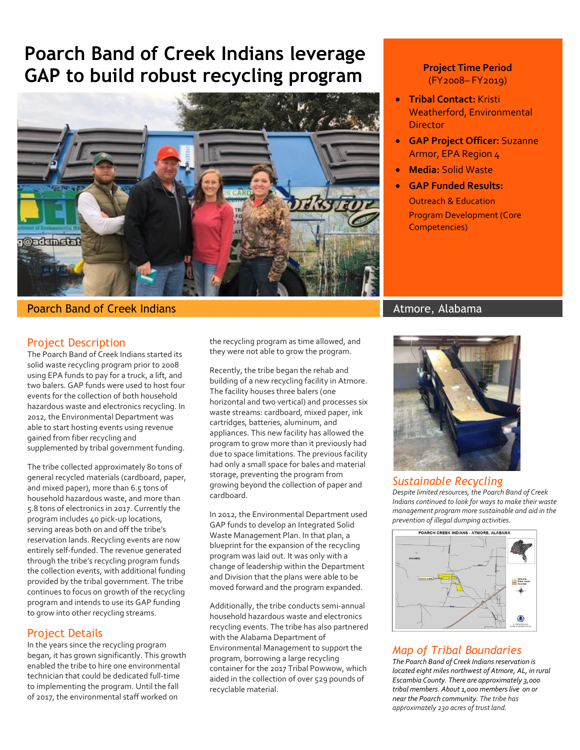# **Poarch Band of Creek Indians leverage GAP to build robust recycling program**



#### **Poarch Band of Creek Indians Atmore, Alabama** Atmore, Alabama

### Project Description

The Poarch Band of Creek Indians started its solid waste recycling program prior to 2008 using EPA funds to pay for a truck, a lift, and two balers. GAP funds were used to host four events for the collection of both household hazardous waste and electronics recycling. In 2012, the Environmental Department was able to start hosting events using revenue gained from fiber recycling and supplemented by tribal government funding.

The tribe collected approximately 80 tons of general recycled materials (cardboard, paper, and mixed paper), more than 6.5 tons of household hazardous waste, and more than 5.8 tons of electronics in 2017. Currently the program includes 40 pick-up locations, serving areas both on and off the tribe's reservation lands. Recycling events are now entirely self-funded. The revenue generated through the tribe's recycling program funds the collection events, with additional funding provided by the tribal government. The tribe continues to focus on growth of the recycling program and intends to use its GAP funding to grow into other recycling streams.

### Project Details

In the years since the recycling program began, it has grown significantly. This growth enabled the tribe to hire one environmental technician that could be dedicated full-time to implementing the program. Until the fall of 2017, the environmental staff worked on

the recycling program as time allowed, and they were not able to grow the program.

Recently, the tribe began the rehab and building of a new recycling facility in Atmore. The facility houses three balers (one horizontal and two vertical) and processes six waste streams: cardboard, mixed paper, ink cartridges, batteries, aluminum, and appliances. This new facility has allowed the program to grow more than it previously had due to space limitations. The previous facility had only a small space for bales and material storage, preventing the program from growing beyond the collection of paper and cardboard.

In 2012, the Environmental Department used GAP funds to develop an Integrated Solid Waste Management Plan. In that plan, a blueprint for the expansion of the recycling program was laid out. It was only with a change of leadership within the Department and Division that the plans were able to be moved forward and the program expanded.

Additionally, the tribe conducts semi-annual household hazardous waste and electronics recycling events. The tribe has also partnered with the Alabama Department of Environmental Management to support the program, borrowing a large recycling container for the 2017 Tribal Powwow, which aided in the collection of over 529 pounds of recyclable material.

#### **Project Time Period**  (FY2008– FY2019)

- **Tribal Contact:** Kristi Weatherford, Environmental Director
- **GAP Project Officer:** Suzanne Armor, EPA Region 4
- **Media:** Solid Waste
- **GAP Funded Results:** Outreach & Education Program Development (Core Competencies)



#### *Sustainable Recycling*

*Despite limited resources, the Poarch Band of Creek Indians continued to look for ways to make their waste management program more sustainable and aid in the prevention of illegal dumping activities.* 



# *Map of Tribal Boundaries*

*The Poarch Band of Creek Indians reservation is located eight miles northwest of Atmore, AL, in rural Escambia County. There are approximately 3,000 tribal members. About 1,000 members live on or near the Poarch community. The tribe has approximately 230 acres of trust land.*